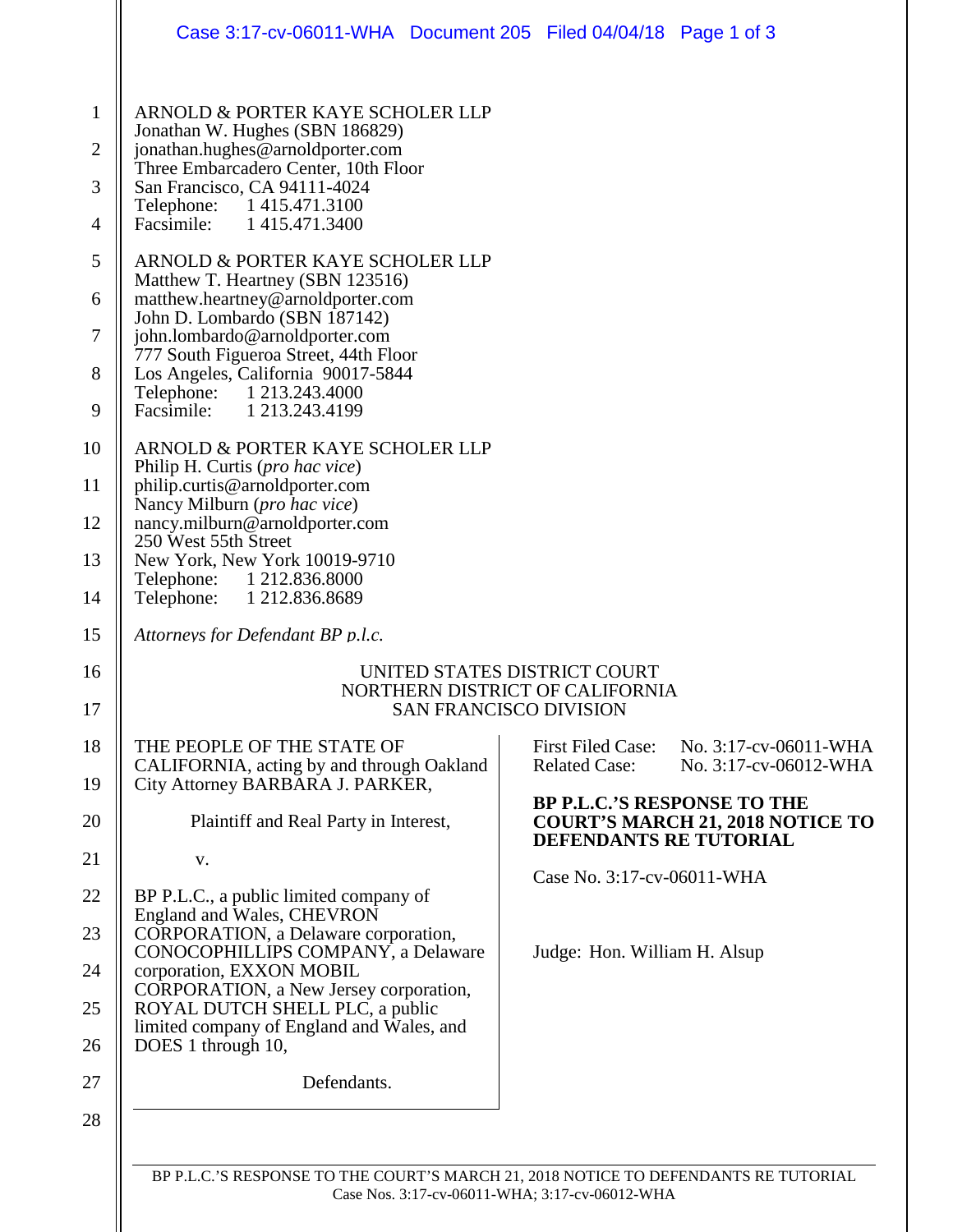|                                                                             | Case 3:17-cv-06011-WHA Document 205 Filed 04/04/18 Page 1 of 3                                                                                                                                                                                                                                                                                                                                                                                                      |                                                                                                         |  |  |
|-----------------------------------------------------------------------------|---------------------------------------------------------------------------------------------------------------------------------------------------------------------------------------------------------------------------------------------------------------------------------------------------------------------------------------------------------------------------------------------------------------------------------------------------------------------|---------------------------------------------------------------------------------------------------------|--|--|
| 1<br>$\overline{2}$<br>3<br>$\overline{4}$<br>5<br>6<br>$\overline{7}$<br>8 | ARNOLD & PORTER KAYE SCHOLER LLP<br>Jonathan W. Hughes (SBN 186829)<br>jonathan.hughes@arnoldporter.com<br>Three Embarcadero Center, 10th Floor<br>San Francisco, CA 94111-4024<br>Telephone: 1415.471.3100<br>Facsimile:<br>1415.471.3400<br>ARNOLD & PORTER KAYE SCHOLER LLP<br>Matthew T. Heartney (SBN 123516)<br>matthew.heartney@arnoldporter.com<br>John D. Lombardo (SBN 187142)<br>john.lombardo@arnoldporter.com<br>777 South Figueroa Street, 44th Floor |                                                                                                         |  |  |
| 9                                                                           | Los Angeles, California 90017-5844<br>Telephone: 1 213.243.4000<br>Facsimile: 1 213.243.4199                                                                                                                                                                                                                                                                                                                                                                        |                                                                                                         |  |  |
| 10                                                                          | ARNOLD & PORTER KAYE SCHOLER LLP                                                                                                                                                                                                                                                                                                                                                                                                                                    |                                                                                                         |  |  |
| 11                                                                          | Philip H. Curtis (pro hac vice)<br>philip.curtis@arnoldporter.com                                                                                                                                                                                                                                                                                                                                                                                                   |                                                                                                         |  |  |
| 12                                                                          | Nancy Milburn (pro hac vice)<br>nancy.milburn@arnoldporter.com                                                                                                                                                                                                                                                                                                                                                                                                      |                                                                                                         |  |  |
| 13                                                                          | 250 West 55th Street<br>New York, New York 10019-9710<br>Telephone: 1 212.836.8000                                                                                                                                                                                                                                                                                                                                                                                  |                                                                                                         |  |  |
| 14                                                                          | Telephone: 1 212.836.8689                                                                                                                                                                                                                                                                                                                                                                                                                                           |                                                                                                         |  |  |
| 15                                                                          | Attorneys for Defendant BP p.l.c.                                                                                                                                                                                                                                                                                                                                                                                                                                   |                                                                                                         |  |  |
| 16<br>17                                                                    | UNITED STATES DISTRICT COURT<br>NORTHERN DISTRICT OF CALIFORNIA<br><b>SAN FRANCISCO DIVISION</b>                                                                                                                                                                                                                                                                                                                                                                    |                                                                                                         |  |  |
| 18                                                                          | THE PEOPLE OF THE STATE OF                                                                                                                                                                                                                                                                                                                                                                                                                                          | No. 3:17-cv-06011-WHA<br><b>First Filed Case:</b>                                                       |  |  |
| 19                                                                          | CALIFORNIA, acting by and through Oakland<br>City Attorney BARBARA J. PARKER,                                                                                                                                                                                                                                                                                                                                                                                       | <b>Related Case:</b><br>No. 3:17-cv-06012-WHA                                                           |  |  |
| 20                                                                          | Plaintiff and Real Party in Interest,                                                                                                                                                                                                                                                                                                                                                                                                                               | <b>BP P.L.C.'S RESPONSE TO THE</b><br><b>COURT'S MARCH 21, 2018 NOTICE TO</b><br>DEFENDANTS RE TUTORIAL |  |  |
| 21                                                                          | V.                                                                                                                                                                                                                                                                                                                                                                                                                                                                  | Case No. 3:17-cv-06011-WHA                                                                              |  |  |
| 22                                                                          | BP P.L.C., a public limited company of<br>England and Wales, CHEVRON                                                                                                                                                                                                                                                                                                                                                                                                |                                                                                                         |  |  |
| 23                                                                          | CORPORATION, a Delaware corporation,<br>CONOCOPHILLIPS COMPANY, a Delaware                                                                                                                                                                                                                                                                                                                                                                                          | Judge: Hon. William H. Alsup                                                                            |  |  |
| 24                                                                          | corporation, EXXON MOBIL<br>CORPORATION, a New Jersey corporation,                                                                                                                                                                                                                                                                                                                                                                                                  |                                                                                                         |  |  |
| 25                                                                          | ROYAL DUTCH SHELL PLC, a public<br>limited company of England and Wales, and                                                                                                                                                                                                                                                                                                                                                                                        |                                                                                                         |  |  |
| 26                                                                          | DOES 1 through 10,                                                                                                                                                                                                                                                                                                                                                                                                                                                  |                                                                                                         |  |  |
| 27                                                                          | Defendants.                                                                                                                                                                                                                                                                                                                                                                                                                                                         |                                                                                                         |  |  |
| 28                                                                          |                                                                                                                                                                                                                                                                                                                                                                                                                                                                     |                                                                                                         |  |  |
|                                                                             |                                                                                                                                                                                                                                                                                                                                                                                                                                                                     |                                                                                                         |  |  |

BP P.L.C.'S RESPONSE TO THE COURT'S MARCH 21, 2018 NOTICE TO DEFENDANTS RE TUTORIAL Case Nos. 3:17-cv-06011-WHA; 3:17-cv-06012-WHA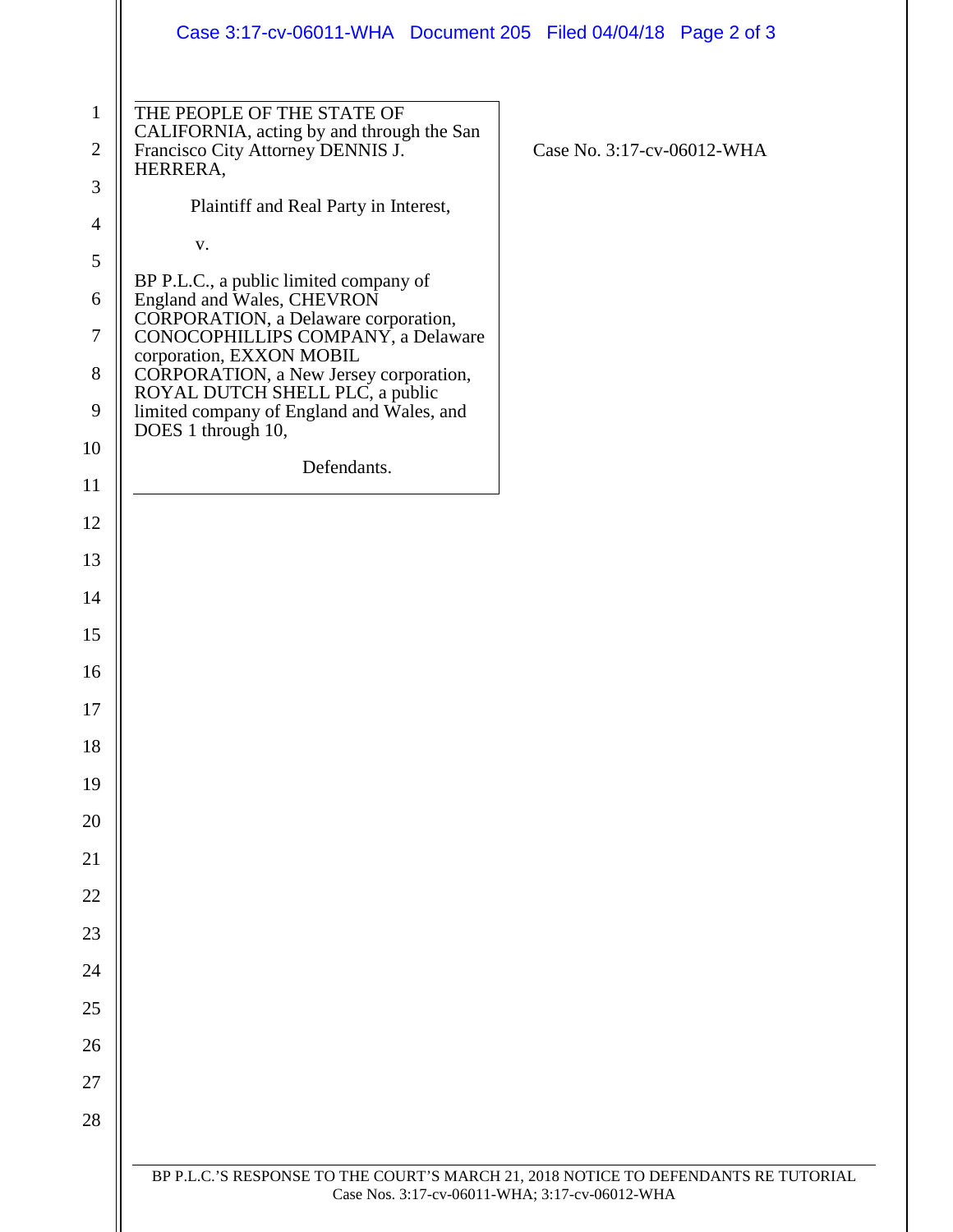|                                                  | Case 3:17-cv-06011-WHA Document 205 Filed 04/04/18 Page 2 of 3                                                                                                    |                            |  |
|--------------------------------------------------|-------------------------------------------------------------------------------------------------------------------------------------------------------------------|----------------------------|--|
| $\mathbf{1}$<br>$\overline{2}$<br>$\mathfrak{Z}$ | THE PEOPLE OF THE STATE OF<br>CALIFORNIA, acting by and through the San<br>Francisco City Attorney DENNIS J.<br>HERRERA,<br>Plaintiff and Real Party in Interest, | Case No. 3:17-cv-06012-WHA |  |
| $\overline{4}$                                   | V.                                                                                                                                                                |                            |  |
| $\mathfrak{S}$                                   |                                                                                                                                                                   |                            |  |
| 6                                                | BP P.L.C., a public limited company of<br>England and Wales, CHEVRON                                                                                              |                            |  |
| $\tau$                                           | CORPORATION, a Delaware corporation,<br>CONOCOPHILLIPS COMPANY, a Delaware                                                                                        |                            |  |
| $8\,$                                            | corporation, EXXON MOBIL<br>CORPORATION, a New Jersey corporation,<br>ROYAL DUTCH SHELL PLC, a public                                                             |                            |  |
| 9                                                | limited company of England and Wales, and                                                                                                                         |                            |  |
| 10                                               | DOES 1 through 10,                                                                                                                                                |                            |  |
| 11                                               | Defendants.                                                                                                                                                       |                            |  |
| 12                                               |                                                                                                                                                                   |                            |  |
| 13                                               |                                                                                                                                                                   |                            |  |
| 14                                               |                                                                                                                                                                   |                            |  |
| 15                                               |                                                                                                                                                                   |                            |  |
| 16                                               |                                                                                                                                                                   |                            |  |
| 17                                               |                                                                                                                                                                   |                            |  |
| 18                                               |                                                                                                                                                                   |                            |  |
| 19                                               |                                                                                                                                                                   |                            |  |
| 20                                               |                                                                                                                                                                   |                            |  |
| 21                                               |                                                                                                                                                                   |                            |  |
| 22                                               |                                                                                                                                                                   |                            |  |
| 23                                               |                                                                                                                                                                   |                            |  |
| 24                                               |                                                                                                                                                                   |                            |  |
| 25                                               |                                                                                                                                                                   |                            |  |
| 26                                               |                                                                                                                                                                   |                            |  |
| 27                                               |                                                                                                                                                                   |                            |  |
| 28                                               |                                                                                                                                                                   |                            |  |
|                                                  |                                                                                                                                                                   |                            |  |
|                                                  | BP P.L.C.'S RESPONSE TO THE COURT'S MARCH 21, 2018 NOTICE TO DEFENDANTS RE TUTORIAL<br>Case Nos. 3:17-cv-06011-WHA; 3:17-cv-06012-WHA                             |                            |  |